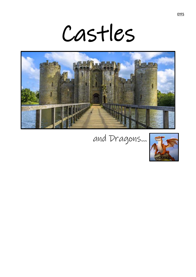# Castles



and Dragons...

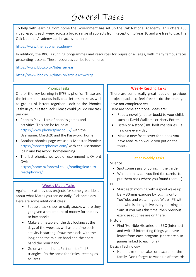## General Tasks

To help with learning from home the Government has set up the Oak National Academy. This offers 180 video lessons each week across a broad range of subjects from Reception to Year 10 and are free to use. The Oak National Academy can be accessed here:

<https://www.thenational.academy/>

In addition, the BBC is running programmes and resources for pupils of all ages, with many famous faces presenting lessons. These resources can be found here:

<https://www.bbc.co.uk/bitesize/learn>

<https://www.bbc.co.uk/bitesize/articles/znwrcqt>

#### Phonics Tasks

One of the key learning in EYFS is phonics. These are the letters and sounds individual letters make as well as groups of letters together. Look at the Phonics Tasks in your Easter Pack. Please could you do one task per day.

- Phonics Play Lots of phonics games and activities. This can be found at: <https://www.phonicsplay.co.uk/> with the Username: March20 and the Password: home
- Another phonics page we use is Monster Phonics: <https://monsterphonics.com/> with the Username: login and Password: homelearning
- The last phonics we would recommend is Oxford Owl:

[https://home.oxfordowl.co.uk/reading/learn-to](https://home.oxfordowl.co.uk/reading/learn-to-read-phonics/)[read-phonics/](https://home.oxfordowl.co.uk/reading/learn-to-read-phonics/)

#### Weekly Maths Tasks

Again, look at previous projects for some great ideas about what Maths you can do daily. Pick one a day. Here are some additional ideas:

- Set up a tuck shop for daily snacks where they get given a set amount of money for the day to buy snacks.
- Make a timetable of the day looking at the days of the week, as well as the time each activity is starting. Draw the clock, with the long hand the minute hand and the short hand the hour hand.
- Go on a shape hunt. First one to find 3 triangles. Do the same for circles, rectangles, squares.

## Weekly Reading Tasks

There are some really great ideas on previous project packs so feel free to do the ones you have not completed yet.

Here are some additional ideas are:

- Read a novel (chapter book) to your child, such as David Walliams or Harry Potter.
- Listen to a story (BBC bedtime stories a new one every day)
- Make a new front cover for a book you have read. Who would you put on the front?

### Other Weekly Tasks

#### Science

- Spot some signs of Spring in the garden…
- What animals can you find (be careful to put them back where you found them….)
- PE
	- Start each morning with a good wake up! Daily 30mins exercise by logging onto YouTube and watching Joe Wicks (PE with Joe) who is doing it live every morning at 9am. If you miss this time, then previous exercise routines are on there.

#### **History**

• Find 'Horrible Histories' on BBC (Internet) and write 3 interesting things you have learnt from each program. (there are also games linked to each one)

#### Design Technology

• Help make some cakes or biscuits for the family. Don't forget to wash up afterwards.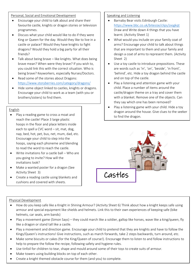Personal, Social and Emotional Development

- Encourage your child to talk about and share their favourite castle, knights or dragon stories or television programmes.
- Discuss what your child would like to do if they were King or Queen for the day. Would they like to live in a castle or palace? Would they have knights to fight dragons? Would they hold a big party for all their friends?
- Talk about being brave like knights. What does being brave mean? When were they brave? If you wish to, you could link this with the correct situation. Who is being brave? Keyworkers, especially Nurses/Doctors.
- Read some of the stories about Dragons: <https://www.storyberries.com/category/dragons/>
- Hide some object linked to castles, knights or dragons. Encourage your child to work as a team (with you or brothers/sisters) to find them.

#### English

- Play a reading game to cross a moat and reach the castle! Place 3 large plastic hoops in the floor and place letters inside each to spell a CVC word – sit, mat, dog, nap, bed, hot, pet, bus, net, mum, dad, etc. Encourage your child to step into the hoops, saying each phoneme and blending to read the word to reach the castle.
- Write invitations for a castle ball Who are you going to invite? How will the invitations look?
- Make a wanted poster for a dragon (See Activity Sheet 3)
- Create a reading castle using blankets and cushions and covered with sheets.

#### Physical Development

- How do you keep safe like a Knight in Shining Armour? (Activity Sheet 6) Think about how a knight keeps safe using armour and special equipment like shields and helmets. Link this to their own experiences of keeping safe (bike helmets, car seats, arm bands)
- Play a movement game (Simon Says) they could march like a soldier, gallop like horses, wave like a king/queen, fly like a dragon or stand tall like a castle.
- Play a movement and direction game. Encourage your child to pretend that they are knights and have to follow the Kings/Queen's instructions! Give instructions, such as march forwards, take 2 steps backwards, turn around, etc.
- Make some biscuits or cakes (for the King/Queen of course!). Encourage them to listen to and follow instructions to help to prepare the follow the recipe, following safety and hygiene rules.
- Use tinfoil for children to tear, shape and mould around some of their toys to create suits of armour.
- Make towers using building blocks on top of each other.
- Create a knight themed obstacle course for them (and you) to complete.

Speaking and Listening

- Barnaby Bear visits Edinburgh Castle: <https://www.bbc.co.uk/bitesize/clips/zxsgkqt> Draw and Write down 4 things that you have learnt. (Activity Sheet 1)
- What would you include on your family coat of arms? Encourage your child to talk about things that are important to them and your family and design a coat of arms to represent them. (Activity Sheet 2)
- Use a toy castle to introduce prepositions. These are words such as 'in', 'on', 'beside', 'in front', 'behind', etc. Hide a toy dragon behind the castle and on top of the castle.
- Play a listening and attention game with your child. Place a number of items around the castle/dragon theme on a tray and cover them with a blanket. Remove one of the objects. Can they say which one has been removed?
- Play a listening game with your child. Hide a toy dragon around the house. Give clues to the seeker to find the dragon.

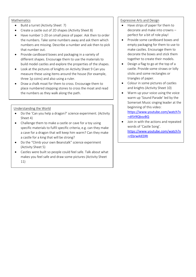#### Mathematics

- Build a turret (Activity Sheet 7)
- Create a castle out of 2D shapes (Activity Sheet 8)
- Have number 1-20 on small piece of paper. Ask then to order the numbers. Take some numbers away and ask them which numbers are missing. Describe a number and ask then to pick that number out.
- Provide cardboard boxes and packaging in a variety of different shapes. Encourage them to use the materials to build model castles and explore the properties of the shapes.
- Look at the pictures of knights on Activity Sheet 9 Can you measure these using items around the house (for example, three 1p coins) and also using a ruler.
- Draw a chalk moat for them to cross. Encourage them to place numbered stepping stones to cross the moat and read the numbers as they walk along the path.

Understanding the World

- Do the 'Can you help a dragon?' science experiment. (Activity Sheet 4)
- Challenge them to make a castle or cave for a toy using specific materials to fulfil specific criteria, e.g. can they make a cave for a dragon that will keep him warm? Can they make a castle for a king that will be strong?
- Do the "Climb your own Beanstalk" science experiment (Activity Sheet 5)
- Castles were built so people could feel safe. Talk about what makes you feel safe and draw some pictures (Activity Sheet 11)

Expressive Arts and Design

- Have strips of paper for them to decorate and make into crowns – perfect for a bit of role play!
- Provide some cardboard boxes and empty packaging for them to use to make castles. Encourage them to decorate the boxes and stick them together to create their models.
- Design a flag to go at the top of a castle. Provide some straws or lolly sticks and some rectangles or triangles of paper.
- Colour in some pictures of castles and knights (Activity Sheet 10)
- Warm up your voice using the voice warm up 'Sound Parade' led by the Somerset Music singing leader at the beginning of this video:

[https://www.youtube.com/watch?v](https://www.youtube.com/watch?v=dI5t9QbozBQ) [=dI5t9QbozBQ](https://www.youtube.com/watch?v=dI5t9QbozBQ)

• Join in with the actions and repeated words of 'Castle Song'. [https://www.youtube.com/watch?v](https://www.youtube.com/watch?v=rEbrwAIEDRI) [=rEbrwAIEDRI](https://www.youtube.com/watch?v=rEbrwAIEDRI)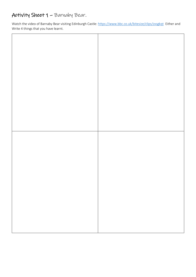## Activity Sheet 1 – Barnaby Bear.

Watch the video of Barnaby Bear visiting Edinburgh Castle[: https://www.bbc.co.uk/bitesize/clips/zxsgkqt](https://www.bbc.co.uk/bitesize/clips/zxsgkqt) Either and Write 4 things that you have learnt.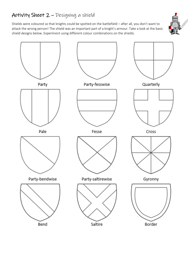## Activity Sheet 2 – Designing a shield

Shields were coloured so that knights could be spotted on the battlefield – after all, you don't want to attack the wrong person! The shield was an important part of a knight's armour. Take a look at the basic shield designs below. Experiment using different colour combinations on the shields.



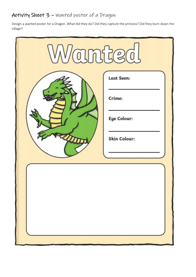## Activity Sheet 3 – Wanted poster of a Dragon

Design a wanted poster for a Dragon. What did they do? Did they capture the princess? Did they burn down the village?

| Wanted |                                           |  |
|--------|-------------------------------------------|--|
|        | <b>Last Seen:</b><br>Crime:               |  |
|        | <b>Eye Colour:</b><br><b>Skin Colour:</b> |  |
|        |                                           |  |
|        |                                           |  |
|        |                                           |  |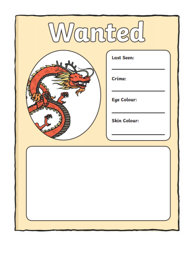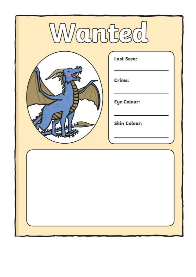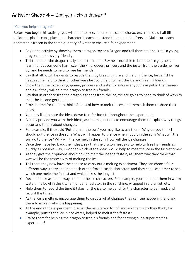## "Can you help a dragon?"

Before you begin this activity, you will need to freeze four small castle characters. You could half fill children's plastic cups, place one character in each and stand them up in the freezer. Make sure each character is frozen in the same quantity of water to ensure a fair experiment.

- Begin the activity by showing them a dragon toy or a Dragon and tell them that he is still a young dragon and he is very friendly.
- Tell them that the dragon really needs their help! Say he is not able to breathe fire yet, he is still learning, but someone has frozen the king, queen, princess and the jester from the castle he lives by, and he needs to help to free his friends.
- Say that although he wants to rescue them by breathing fire and melting the ice, he can't! He needs some help to think of other ways he could help to melt the ice and free his friends.
- Show them the frozen king, queen, princess and jester (or who ever you have put in the freezer) and ask if they will help the dragon to free his friends.
- Say that in order to free the dragon's friends from the ice, we are going to need to think of ways to melt the ice and get them out.
- Provide time for them to think of ideas of how to melt the ice, and then ask them to share their ideas.
- You may like to note the ideas down to refer back to throughout the experiment.
- As they provide you with their ideas, ask them questions to encourage them to explain why things occur and to talk about changes.
- For example, if they said 'Put them in the sun,' you may like to ask them, 'Why do you think I should put the ice in the sun? What will happen to the ice when I put it in the sun? What will the sun do to the ice? Why will the ice melt in the sun? How will the ice change?'
- Once they have fed back their ideas, say that the dragon needs us to help to free his friends as quickly as possible. Say, I wonder which of the ideas would help to melt the ice in the fastest time?
- As they give their opinions about how to melt the ice the fastest, ask them why they think that way will be the fastest way of melting the ice.
- Tell them they now have the chance to carry out a melting experiment. They can choose four different ways to try and melt each of the frozen castle characters and they can use a timer to see which one melts the fastest and which takes the longest.
- Decide four reasonable ways to melt the ice characters. For example, you could put them in warm water, in a bowl in the kitchen, under a radiator, in the sunshine, wrapped in a blanket, etc.
- Help them to record the time it takes for the ice to melt and for the character to be freed, and record the times.
- As the ice is melting, encourage them to discuss what changes they can see happening and ask them to explain why it is happening.
- At the end of the experiment, discuss the results you found and ask them why they think, for example, putting the ice in hot water, helped to melt it the fastest?
- Praise them for helping the dragon to free his friends and for carrying out a super melting experiment!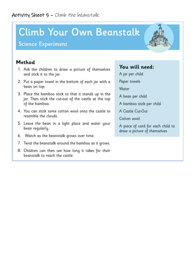# **Climb Your Own Beanstalk**

## **Science Experiment**



## Method

- 1. Ask the children to draw a picture of themselves and stick it to the jar.
- 2. Put a paper towel in the bottom of each jar with a bean on top.
- 3. Place the bamboo stick so that it stands up in the jar. Then stick the cut-out of the castle at the top of the bamboo.
- 4. You can stick some cotton wool onto the castle to resemble the clouds.
- 5. Leave the bean in a light place and water your bean regularly.
- 6. Watch as the beanstalk grows over time.
- 7. Twist the beanstalk around the bamboo as it grows.
- 8. Children can then see how long it takes for their beanstalk to reach the castle.

## You will need:

A jar per child

Paper towels

Water

A bean per child

A bamboo stick per child

A Castle Cut-Out

Cotton wool

A piece of card for each child to draw a picture of themselves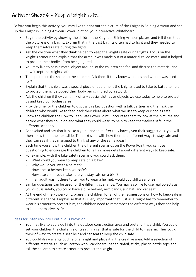## Activity Sheet 6 – Keep a knight safe....

Before you begin this activity, you may like to print out the picture of the Knight in Shining Armour and set up the Knight in Shining Armour PowerPoint on your Interactive Whiteboard.

- Begin the activity by showing the children the Knight in Shining Armour picture and tell them that the picture is of a knight. Explain that in the past knights often had to fight and they needed to keep themselves safe during the fights.
- Ask the children what they think helped to keep the knights safe during fights. Focus on the knight's armour and explain that the armour was made out of a material called metal and it helped to protect their bodies from being injured.
- You may like to pass a metal object around so the children can feel and discuss the material and how it kept the knights safe.
- Then point out the shield to the children. Ask them if they know what it is and what it was used for?
- Explain that the shield was a special piece of equipment the knights used to take to battle to help to protect them, it stopped their body being injured by a sword.
- Ask the children if they can think of any special clothes or objects we use today to help to protect us and keep our bodies safe?
- Provide time for the children to discuss this key question with a talk partner and then ask the children who would like to feed back their ideas about what we use to keep our bodies safe.
- Show the children the How to Keep Safe PowerPoint. Encourage them to look at the pictures and decide what they could do and what they could wear, to help to keep themselves safe in the different scenarios.
- Act excited and say that it is like a game and that after they have given their suggestions, you will then show them the next slide. The next slide will show them the different ways to stay safe and they can see if they managed to think of any of the same ideas!
- Each time you show the children the different scenarios on the PowerPoint, you can use questioning to encourage the children to talk in more detail about different ways to keep safe.
- For example, with the bike safety scenario you could ask them,
	- What could you wear to keep safe on a bike?
	- Why would you wear a helmet?
	- How does a helmet keep you safe?
	- How else could you make sure you stay safe on a bike?
	- If an adult wasn't there to tell you to wear a helmet, would you still wear one?
- Similar questions can be used for the differing scenarios. You may also like to use real objects as you discuss safety, you could have a bike helmet, arm bands, sun hat, and car seat.
- At the end of the PowerPoint, praise the children for all of their suggestions on how to keep safe in different scenarios. Emphasise that it is very important that, just as a knight has to remember to wear his armour to protect him, the children need to remember the different ways they can help to keep themselves safe.

#### Ideas for Extension into Continuous Provision:

- You may like to add a doll into the outdoor construction area and pretend it is a child. You could set your children the challenge of creating a car that is safe for the child to travel in. They could think of ways to create a seat belt and car seat to keep the child safe.
- You could draw a large outline of a knight and place it in the creative area. Add a selection of different materials such as, cotton wool, cardboard, paper, tinfoil, sticks, plastic bottle tops and ask the children to create armour to protect the knight.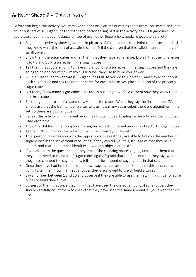## Activity Sheet  $7$  – Build a turret

Before you begin this activity, you may like to print off pictures of castles and turrets. You may also like to count out sets of 10 sugar cubes so that each person taking part in the activity has 10 sugar cubes. You could use anything that can balance on top of each other (lego bricks, books, chocolate bars, etc)

- Begin the activity by showing your child pictures of Castle and turrets. Point to the turret and ask if they know what this part of a castle is called. Tell the children that it is called a turret and it is a small tower.
- Show them the sugar cubes and tell them that they have a challenge. Explain that their challenge is to try and build a turret using the sugar cubes!
- Tell them that you are going to have a go at building a turret using the sugar cubes and they are going to help to count how many sugar cubes they use to build your tower.
- Build a sugar cube tower that is 3 sugar cubes tall. As you do this, carefully and slowly count out each sugar cube and say the number name for each cube as you place it on top of the previous sugar cube.
- Ask them, "How many sugar cubes did I use to build my tower?" Ask them how they know there are three cubes.
- Encourage them to carefully and slowly count the cubes. When they say the final number '3', emphasise that the last number we say tells us how many sugar cubes there are altogether in the set, so there are 3 sugar cubes.
- Repeat this activity with different amounts of sugar cubes. Emphasise the total number of cubes used each time.
- Allow the children time to explore making turrets with different amounts of up to 10 sugar cubes.
- As them, "How many sugar cubes did you use to build your turret?"
- This question provides you with the opportunity to see if they are able to tell you the number of sugar cubes in the set without recounting. If they can tell you this, it suggests that they have understood that the number identifies how many objects are in a set.
- If you ask them the question and they repeat the counting process again, explain to them that they don't need to count all of sugar cubes again. Explain that the final number they say, when they have counted the sugar cubes, tells them the amount of sugar cubes in that set.
- Once they have had time to build their own sugar cube turrets, tell them that this time you are going to tell them how many sugar cubes they are allowed to use to build a turret.
- Say a number between 1 and 10 and observe if they are able to use the matching number of sugar cubes to build their turret.
- Suggest to them that once they think they have used the correct amount of sugar cubes, they should carefully count them to check that they have used the same amount as you asked them to use.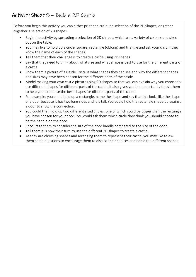Before you begin this activity you can either print and cut out a selection of the 2D Shapes, or gather together a selection of 2D shapes.

- Begin the activity by spreading a selection of 2D shapes, which are a variety of colours and sizes, out on the table.
- You may like to hold up a circle, square, rectangle (oblong) and triangle and ask your child if they know the name of each of the shapes.
- Tell them that their challenge is to create a castle using 2D shapes!
- Say that they need to think about what size and what shape is best to use for the different parts of a castle.
- Show them a picture of a Castle. Discuss what shapes they can see and why the different shapes and sizes may have been chosen for the different parts of the castle.
- Model making your own castle picture using 2D shapes so that you can explain why you choose to use different shapes for different parts of the castle. It also gives you the opportunity to ask them to help you to choose the best shapes for different parts of the castle.
- For example, you could hold up a rectangle, name the shape and say that this looks like the shape of a door because it has two long sides and it is tall. You could hold the rectangle shape up against a door to show the connection.
- You could then hold up two different sized circles, one of which could be bigger than the rectangle you have chosen for your door! You could ask them which circle they think you should choose to be the handle on the door.
- Encourage them to consider the size of the door handle compared to the size of the door.
- Tell them it is now their turn to use the different 2D shapes to create a castle.
- As they are choosing shapes and arranging them to represent their castle, you may like to ask them some questions to encourage them to discuss their choices and name the different shapes.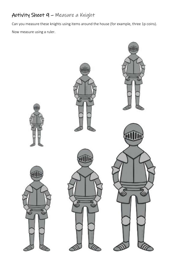## Activity Sheet 9 – Measure a Knight

Can you measure these knights using items around the house (for example, three 1p coins). Now measure using a ruler.

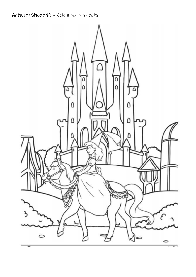Activity Sheet 10 - Colouring in sheets.

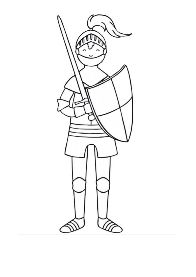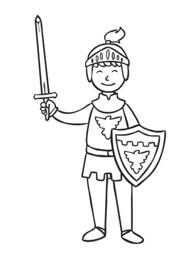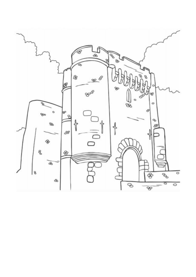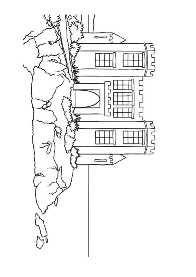